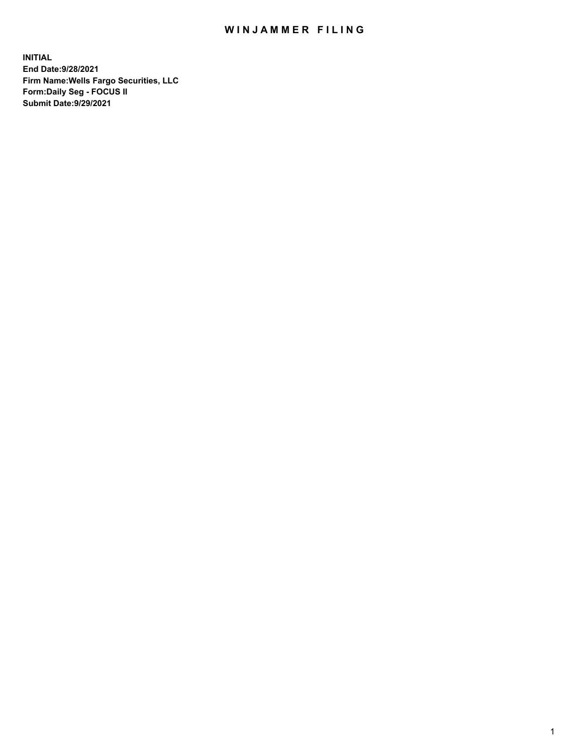## WIN JAMMER FILING

**INITIAL End Date:9/28/2021 Firm Name:Wells Fargo Securities, LLC Form:Daily Seg - FOCUS II Submit Date:9/29/2021**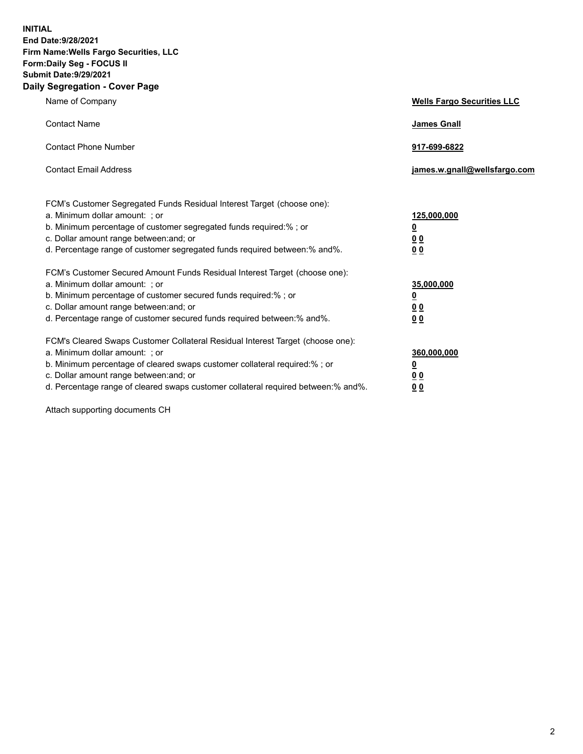**INITIAL End Date:9/28/2021 Firm Name:Wells Fargo Securities, LLC Form:Daily Seg - FOCUS II Submit Date:9/29/2021 Daily Segregation - Cover Page**

| Name of Company                                                                                                                                                                                                                                                                                                               | <b>Wells Fargo Securities LLC</b>                          |
|-------------------------------------------------------------------------------------------------------------------------------------------------------------------------------------------------------------------------------------------------------------------------------------------------------------------------------|------------------------------------------------------------|
| <b>Contact Name</b>                                                                                                                                                                                                                                                                                                           | <b>James Gnall</b>                                         |
| <b>Contact Phone Number</b>                                                                                                                                                                                                                                                                                                   | 917-699-6822                                               |
| <b>Contact Email Address</b>                                                                                                                                                                                                                                                                                                  | james.w.gnall@wellsfargo.com                               |
| FCM's Customer Segregated Funds Residual Interest Target (choose one):<br>a. Minimum dollar amount: ; or<br>b. Minimum percentage of customer segregated funds required:% ; or<br>c. Dollar amount range between: and; or<br>d. Percentage range of customer segregated funds required between:% and%.                        | 125,000,000<br><u>0</u><br>0 <sub>0</sub><br>00            |
| FCM's Customer Secured Amount Funds Residual Interest Target (choose one):<br>a. Minimum dollar amount: ; or<br>b. Minimum percentage of customer secured funds required:%; or<br>c. Dollar amount range between: and; or<br>d. Percentage range of customer secured funds required between:% and%.                           | 35,000,000<br><u>0</u><br>0 <sub>0</sub><br>0 <sub>0</sub> |
| FCM's Cleared Swaps Customer Collateral Residual Interest Target (choose one):<br>a. Minimum dollar amount: ; or<br>b. Minimum percentage of cleared swaps customer collateral required:%; or<br>c. Dollar amount range between: and; or<br>d. Percentage range of cleared swaps customer collateral required between:% and%. | 360,000,000<br><u>0</u><br>0 Q<br>00                       |

Attach supporting documents CH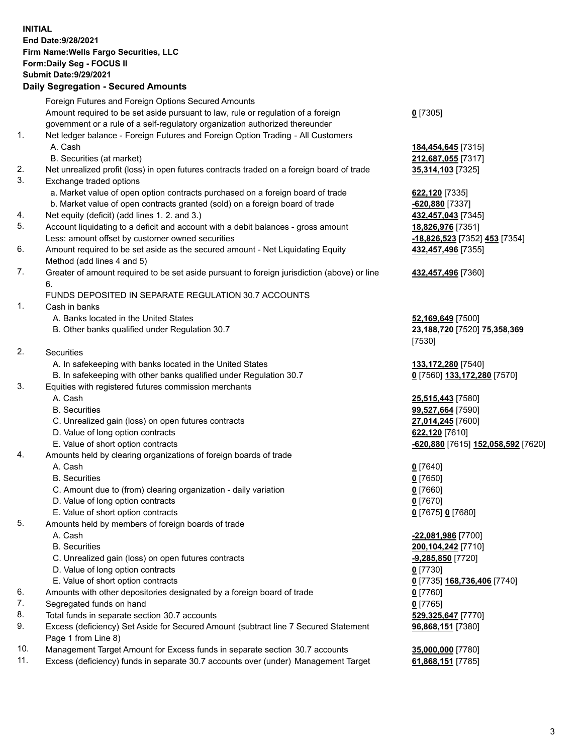**INITIAL End Date:9/28/2021 Firm Name:Wells Fargo Securities, LLC Form:Daily Seg - FOCUS II Submit Date:9/29/2021**

## **Daily Segregation - Secured Amounts**

|     | Foreign Futures and Foreign Options Secured Amounts                                                        |                                    |
|-----|------------------------------------------------------------------------------------------------------------|------------------------------------|
|     | Amount required to be set aside pursuant to law, rule or regulation of a foreign                           | $0$ [7305]                         |
|     | government or a rule of a self-regulatory organization authorized thereunder                               |                                    |
| 1.  | Net ledger balance - Foreign Futures and Foreign Option Trading - All Customers                            |                                    |
|     | A. Cash                                                                                                    | 184,454,645 [7315]                 |
|     | B. Securities (at market)                                                                                  | 212,687,055 [7317]                 |
| 2.  | Net unrealized profit (loss) in open futures contracts traded on a foreign board of trade                  | 35,314,103 [7325]                  |
| 3.  | Exchange traded options                                                                                    |                                    |
|     | a. Market value of open option contracts purchased on a foreign board of trade                             | 622,120 [7335]                     |
|     | b. Market value of open contracts granted (sold) on a foreign board of trade                               | $-620,880$ [7337]                  |
| 4.  | Net equity (deficit) (add lines 1. 2. and 3.)                                                              | 432,457,043 [7345]                 |
| 5.  | Account liquidating to a deficit and account with a debit balances - gross amount                          | 18,826,976 [7351]                  |
|     | Less: amount offset by customer owned securities                                                           | -18,826,523 [7352] 453 [7354]      |
| 6.  | Amount required to be set aside as the secured amount - Net Liquidating Equity                             | 432,457,496 [7355]                 |
|     | Method (add lines 4 and 5)                                                                                 |                                    |
| 7.  | Greater of amount required to be set aside pursuant to foreign jurisdiction (above) or line                | 432,457,496 [7360]                 |
|     | 6.                                                                                                         |                                    |
|     | FUNDS DEPOSITED IN SEPARATE REGULATION 30.7 ACCOUNTS                                                       |                                    |
| 1.  | Cash in banks                                                                                              |                                    |
|     | A. Banks located in the United States                                                                      | 52,169,649 [7500]                  |
|     | B. Other banks qualified under Regulation 30.7                                                             | 23,188,720 [7520] 75,358,369       |
|     |                                                                                                            | [7530]                             |
| 2.  | <b>Securities</b>                                                                                          |                                    |
|     | A. In safekeeping with banks located in the United States                                                  | 133, 172, 280 [7540]               |
|     | B. In safekeeping with other banks qualified under Regulation 30.7                                         | 0 [7560] 133,172,280 [7570]        |
| 3.  | Equities with registered futures commission merchants                                                      |                                    |
|     | A. Cash                                                                                                    | 25,515,443 [7580]                  |
|     | <b>B.</b> Securities                                                                                       | 99,527,664 [7590]                  |
|     | C. Unrealized gain (loss) on open futures contracts                                                        | 27,014,245 [7600]                  |
|     | D. Value of long option contracts                                                                          | 622,120 [7610]                     |
|     | E. Value of short option contracts                                                                         | -620,880 [7615] 152,058,592 [7620] |
| 4.  | Amounts held by clearing organizations of foreign boards of trade                                          |                                    |
|     | A. Cash                                                                                                    | $0$ [7640]                         |
|     | <b>B.</b> Securities                                                                                       | $0$ [7650]                         |
|     | C. Amount due to (from) clearing organization - daily variation                                            | $0$ [7660]                         |
|     | D. Value of long option contracts                                                                          | $0$ [7670]                         |
|     | E. Value of short option contracts                                                                         | 0 [7675] 0 [7680]                  |
| 5.  | Amounts held by members of foreign boards of trade                                                         |                                    |
|     | A. Cash                                                                                                    | -22,081,986 [7700]                 |
|     | <b>B.</b> Securities                                                                                       | 200, 104, 242 [7710]               |
|     | C. Unrealized gain (loss) on open futures contracts                                                        | $-9,285,850$ [7720]                |
|     | D. Value of long option contracts                                                                          | $0$ [7730]                         |
|     | E. Value of short option contracts                                                                         | 0 [7735] 168,736,406 [7740]        |
| 6.  | Amounts with other depositories designated by a foreign board of trade                                     | $0$ [7760]                         |
| 7.  | Segregated funds on hand                                                                                   | $0$ [7765]                         |
| 8.  | Total funds in separate section 30.7 accounts                                                              | 529,325,647 [7770]                 |
| 9.  | Excess (deficiency) Set Aside for Secured Amount (subtract line 7 Secured Statement<br>Page 1 from Line 8) | 96,868,151 [7380]                  |
| 10. | Management Target Amount for Excess funds in separate section 30.7 accounts                                | 35,000,000 [7780]                  |

11. Excess (deficiency) funds in separate 30.7 accounts over (under) Management Target **61,868,151** [7785]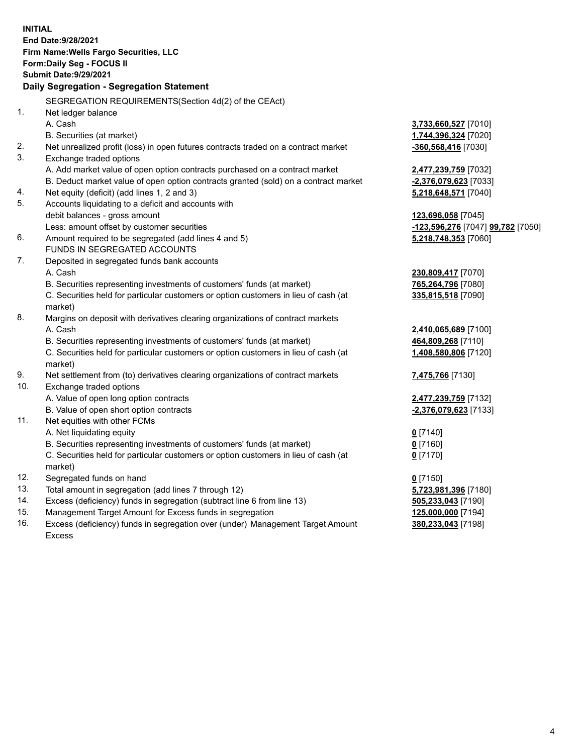**INITIAL End Date:9/28/2021 Firm Name:Wells Fargo Securities, LLC Form:Daily Seg - FOCUS II Submit Date:9/29/2021 Daily Segregation - Segregation Statement** SEGREGATION REQUIREMENTS(Section 4d(2) of the CEAct) 1. Net ledger balance A. Cash **3,733,660,527** [7010] B. Securities (at market) **1,744,396,324** [7020] 2. Net unrealized profit (loss) in open futures contracts traded on a contract market **-360,568,416** [7030] 3. Exchange traded options A. Add market value of open option contracts purchased on a contract market **2,477,239,759** [7032] B. Deduct market value of open option contracts granted (sold) on a contract market **-2,376,079,623** [7033] 4. Net equity (deficit) (add lines 1, 2 and 3) **5,218,648,571** [7040] 5. Accounts liquidating to a deficit and accounts with debit balances - gross amount **123,696,058** [7045] Less: amount offset by customer securities **-123,596,276** [7047] **99,782** [7050] 6. Amount required to be segregated (add lines 4 and 5) **5,218,748,353** [7060] FUNDS IN SEGREGATED ACCOUNTS 7. Deposited in segregated funds bank accounts A. Cash **230,809,417** [7070] B. Securities representing investments of customers' funds (at market) **765,264,796** [7080] C. Securities held for particular customers or option customers in lieu of cash (at market) **335,815,518** [7090] 8. Margins on deposit with derivatives clearing organizations of contract markets A. Cash **2,410,065,689** [7100] B. Securities representing investments of customers' funds (at market) **464,809,268** [7110] C. Securities held for particular customers or option customers in lieu of cash (at market) **1,408,580,806** [7120] 9. Net settlement from (to) derivatives clearing organizations of contract markets **7,475,766** [7130] 10. Exchange traded options A. Value of open long option contracts **2,477,239,759** [7132] B. Value of open short option contracts **-2,376,079,623** [7133] 11. Net equities with other FCMs A. Net liquidating equity **0** [7140] B. Securities representing investments of customers' funds (at market) **0** [7160] C. Securities held for particular customers or option customers in lieu of cash (at market) **0** [7170] 12. Segregated funds on hand **0** [7150] 13. Total amount in segregation (add lines 7 through 12) **5,723,981,396** [7180] 14. Excess (deficiency) funds in segregation (subtract line 6 from line 13) **505,233,043** [7190] 15. Management Target Amount for Excess funds in segregation **125,000,000** [7194] **380,233,043** [7198]

16. Excess (deficiency) funds in segregation over (under) Management Target Amount Excess